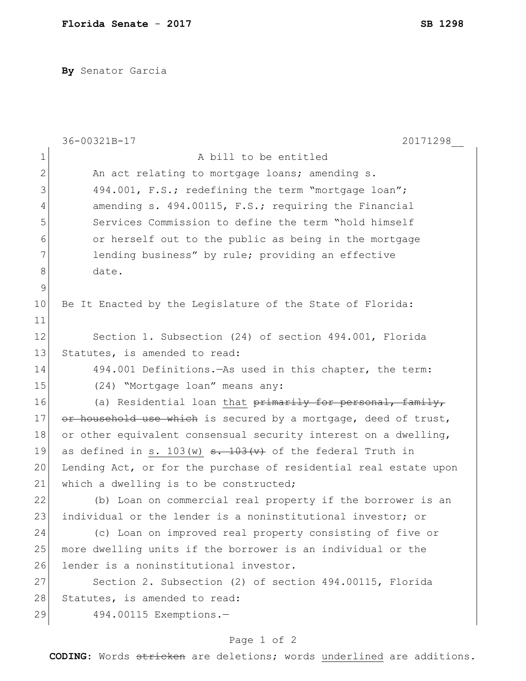**By** Senator Garcia

|                | 20171298<br>36-00321B-17                                            |
|----------------|---------------------------------------------------------------------|
| $\mathbf 1$    | A bill to be entitled                                               |
| $\mathbf{2}$   | An act relating to mortgage loans; amending s.                      |
| 3              | 494.001, F.S.; redefining the term "mortgage loan";                 |
| $\overline{4}$ | amending s. 494.00115, F.S.; requiring the Financial                |
| 5              | Services Commission to define the term "hold himself                |
| 6              | or herself out to the public as being in the mortgage               |
| 7              | lending business" by rule; providing an effective                   |
| $8\,$          | date.                                                               |
| $\mathsf 9$    |                                                                     |
| 10             | Be It Enacted by the Legislature of the State of Florida:           |
| 11             |                                                                     |
| 12             | Section 1. Subsection (24) of section 494.001, Florida              |
| 13             | Statutes, is amended to read:                                       |
| 14             | 494.001 Definitions. - As used in this chapter, the term:           |
| 15             | (24) "Mortgage loan" means any:                                     |
| 16             | (a) Residential loan that primarily for personal, family,           |
| 17             | or household use which is secured by a mortgage, deed of trust,     |
| 18             | or other equivalent consensual security interest on a dwelling,     |
| 19             | as defined in s. 103 (w) $\frac{103(y)}{y}$ of the federal Truth in |
| 20             | Lending Act, or for the purchase of residential real estate upon    |
| 21             | which a dwelling is to be constructed;                              |
| 22             | (b) Loan on commercial real property if the borrower is an          |
| 23             | individual or the lender is a noninstitutional investor; or         |
| 24             | (c) Loan on improved real property consisting of five or            |
| 25             | more dwelling units if the borrower is an individual or the         |
| 26             | lender is a noninstitutional investor.                              |
| 27             | Section 2. Subsection (2) of section 494.00115, Florida             |
| 28             | Statutes, is amended to read:                                       |
| 29             | 494.00115 Exemptions.-                                              |

## Page 1 of 2

**CODING**: Words stricken are deletions; words underlined are additions.